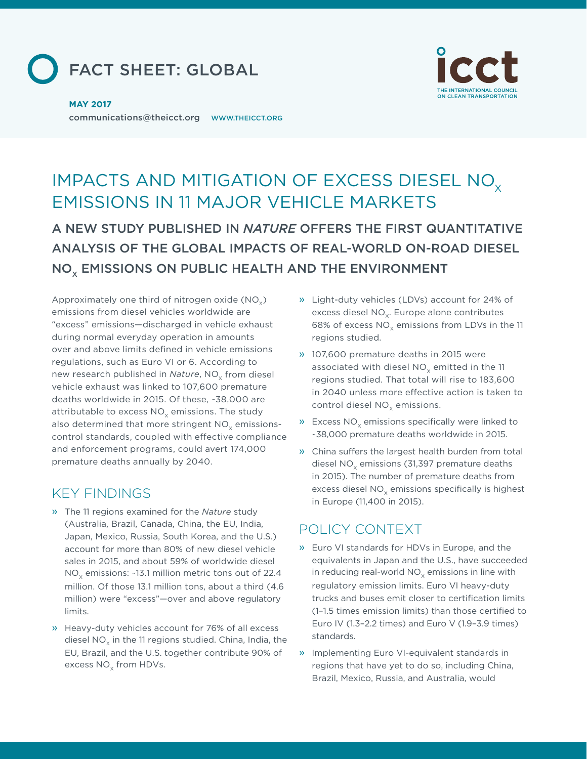



communications@theicct.org [WWW.THEICCT.ORG](www.theicct.org) **MAY 2017**

# IMPACTS AND MITIGATION OF EXCESS DIESEL NO<sub>x</sub> EMISSIONS IN 11 MAJOR VEHICLE MARKETS

A NEW STUDY PUBLISHED IN *NATURE* OFFERS THE FIRST QUANTITATIVE ANALYSIS OF THE GLOBAL IMPACTS OF REAL-WORLD ON-ROAD DIESEL NO<sub>x</sub> EMISSIONS ON PUBLIC HEALTH AND THE ENVIRONMENT

Approximately one third of nitrogen oxide  $(NO<sub>x</sub>)$ emissions from diesel vehicles worldwide are "excess" emissions—discharged in vehicle exhaust during normal everyday operation in amounts over and above limits defined in vehicle emissions regulations, such as Euro VI or 6. According to new research published in *Nature*, NO<sub>v</sub> from diesel vehicle exhaust was linked to 107,600 premature deaths worldwide in 2015. Of these, ~38,000 are attributable to excess  $NO<sub>v</sub>$  emissions. The study also determined that more stringent  $NO<sub>x</sub>$  emissionscontrol standards, coupled with efective compliance and enforcement programs, could avert 174,000 premature deaths annually by 2040.

## KEY FINDINGS

- » The 11 regions examined for the *Nature* study (Australia, Brazil, Canada, China, the EU, India, Japan, Mexico, Russia, South Korea, and the U.S.) account for more than 80% of new diesel vehicle sales in 2015, and about 59% of worldwide diesel NO $_{\mathrm{\chi}}$  emissions: ~13.1 million metric tons out of 22.4 million. Of those 13.1 million tons, about a third (4.6 million) were "excess"—over and above regulatory limits.
- » Heavy-duty vehicles account for 76% of all excess diesel NO $_{\mathrm{\mathsf{x}}}$  in the 11 regions studied. China, India, the EU, Brazil, and the U.S. together contribute 90% of excess  $\mathrm{NO}_{\mathrm{x}}$  from HDVs.
- » Light-duty vehicles (LDVs) account for 24% of excess diesel  $NO<sub>x</sub>$ . Europe alone contributes 68% of excess  $NO<sub>x</sub>$  emissions from LDVs in the 11 regions studied.
- » 107,600 premature deaths in 2015 were associated with diesel  $NO<sub>x</sub>$  emitted in the 11 regions studied. That total will rise to 183,600 in 2040 unless more efective action is taken to control diesel  $NO<sub>x</sub>$  emissions.
- » Excess  $NO<sub>x</sub>$  emissions specifically were linked to ~38,000 premature deaths worldwide in 2015.
- » China suffers the largest health burden from total diesel NO<sub>x</sub> emissions (31,397 premature deaths in 2015). The number of premature deaths from excess diesel  $NO<sub>x</sub>$  emissions specifically is highest in Europe (11,400 in 2015).

## POLICY CONTEXT

- » Euro VI standards for HDVs in Europe, and the equivalents in Japan and the U.S., have succeeded in reducing real-world NO $_\mathrm{\chi}$  emissions in line with regulatory emission limits. Euro VI heavy-duty trucks and buses emit closer to certification limits (1–1.5 times emission limits) than those certified to Euro IV (1.3–2.2 times) and Euro V (1.9–3.9 times) standards.
- » Implementing Euro VI-equivalent standards in regions that have yet to do so, including China, Brazil, Mexico, Russia, and Australia, would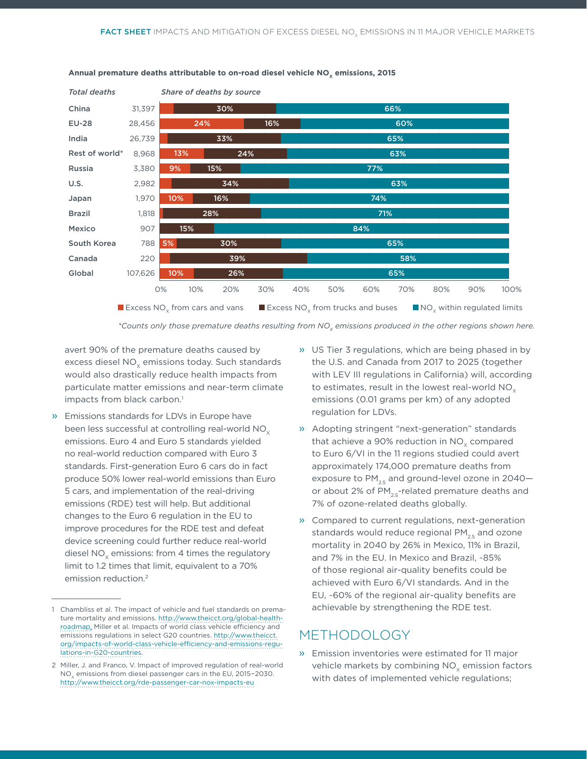

#### Annual premature deaths attributable to on-road diesel vehicle NO<sub>y</sub> emissions, 2015

\*Counts only those premature deaths resulting from NO<sub>y</sub> emissions produced in the other regions shown here.

avert 90% of the premature deaths caused by excess diesel NO<sub>v</sub> emissions today. Such standards would also drastically reduce health impacts from particulate matter emissions and near-term climate impacts from black carbon.<sup>1</sup>

» Emissions standards for LDVs in Europe have been less successful at controlling real-world NO<sub>v</sub> emissions. Euro 4 and Euro 5 standards yielded no real-world reduction compared with Euro 3 standards. First-generation Euro 6 cars do in fact produce 50% lower real-world emissions than Euro 5 cars, and implementation of the real-driving emissions (RDE) test will help. But additional changes to the Euro 6 regulation in the EU to improve procedures for the RDE test and defeat device screening could further reduce real-world diesel  $NO<sub>v</sub>$  emissions: from 4 times the regulatory limit to 1.2 times that limit, equivalent to a 70% emission reduction.2

- » US Tier 3 regulations, which are being phased in by the U.S. and Canada from 2017 to 2025 (together with LEV III regulations in California) will, according to estimates, result in the lowest real-world  $NO<sub>x</sub>$ emissions (0.01 grams per km) of any adopted regulation for LDVs.
- » Adopting stringent "next-generation" standards that achieve a 90% reduction in  $NO<sub>v</sub>$  compared to Euro 6/VI in the 11 regions studied could avert approximately 174,000 premature deaths from exposure to  $PM_{25}$  and ground-level ozone in 2040– or about 2% of  $PM_{2.5}$ -related premature deaths and 7% of ozone-related deaths globally.
- » Compared to current regulations, next-generation standards would reduce regional  $PM_{2.5}$  and ozone mortality in 2040 by 26% in Mexico, 11% in Brazil, and 7% in the EU. In Mexico and Brazil, ~85% of those regional air-quality benefits could be achieved with Euro 6/VI standards. And in the EU, ~60% of the regional air-quality benefits are achievable by strengthening the RDE test.

### METHODOLOGY

» Emission inventories were estimated for 11 major vehicle markets by combining  $NO<sub>x</sub>$  emission factors with dates of implemented vehicle regulations;

<sup>1</sup> Chambliss et al. The impact of vehicle and fuel standards on premature mortality and emissions. [http://www.theicct.org/global-health](http://www.theicct.org/global-health-roadmap)[roadmap](http://www.theicct.org/global-health-roadmap). Miller et al. Impacts of world class vehicle efficiency and emissions regulations in select G20 countries. [http://www.theicct.](http://www.theicct.org/impacts-of-world-class-vehicle-efficiency-and-emissions-regulations-in-G20-countries) [org/impacts-of-world-class-vehicle-e](http://www.theicct.org/impacts-of-world-class-vehicle-efficiency-and-emissions-regulations-in-G20-countries)fficiency-and-emissions-regu[lations-in-G20-countries](http://www.theicct.org/impacts-of-world-class-vehicle-efficiency-and-emissions-regulations-in-G20-countries).

<sup>2</sup> Miller, J. and Franco, V. Impact of improved regulation of real-world NO<sub>x</sub> emissions from diesel passenger cars in the EU, 2015−2030. <http://www.theicct.org/rde-passenger-car-nox-impacts-eu>